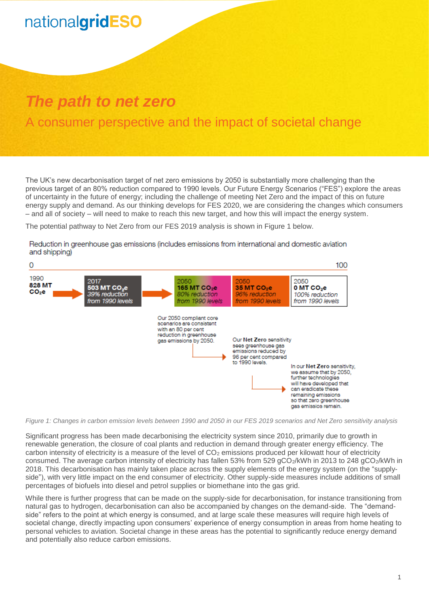## nationalgridESO

### *The path to net zero*

### A consumer perspective and the impact of societal change

The UK's new decarbonisation target of net zero emissions by 2050 is substantially more challenging than the previous target of an 80% reduction compared to 1990 levels. Our Future Energy Scenarios ("FES") explore the areas of uncertainty in the future of energy; including the challenge of meeting Net Zero and the impact of this on future energy supply and demand. As our thinking develops for FES 2020, we are considering the changes which consumers – and all of society – will need to make to reach this new target, and how this will impact the energy system.

The potential pathway to Net Zero from our FES 2019 analysis is shown in [Figure 1](#page-0-0) [below.](#page-0-0)

Reduction in greenhouse gas emissions (includes emissions from international and domestic aviation and shipping)



<span id="page-0-0"></span>*Figure 1: Changes in carbon emission levels between 1990 and 2050 in our FES 2019 scenarios and Net Zero sensitivity analysis*

Significant progress has been made decarbonising the electricity system since 2010, primarily due to growth in renewable generation, the closure of coal plants and reduction in demand through greater energy efficiency. The carbon intensity of electricity is a measure of the level of CO<sub>2</sub> emissions produced per kilowatt hour of electricity consumed. The average carbon intensity of electricity has fallen 53% from 529 gCO2/kWh in 2013 to 248 gCO2/kWh in 2018. This decarbonisation has mainly taken place across the supply elements of the energy system (on the "supplyside"), with very little impact on the end consumer of electricity. Other supply-side measures include additions of small percentages of biofuels into diesel and petrol supplies or biomethane into the gas grid.

While there is further progress that can be made on the supply-side for decarbonisation, for instance transitioning from natural gas to hydrogen, decarbonisation can also be accompanied by changes on the demand-side. The "demandside" refers to the point at which energy is consumed, and at large scale these measures will require high levels of societal change, directly impacting upon consumers' experience of energy consumption in areas from home heating to personal vehicles to aviation. Societal change in these areas has the potential to significantly reduce energy demand and potentially also reduce carbon emissions.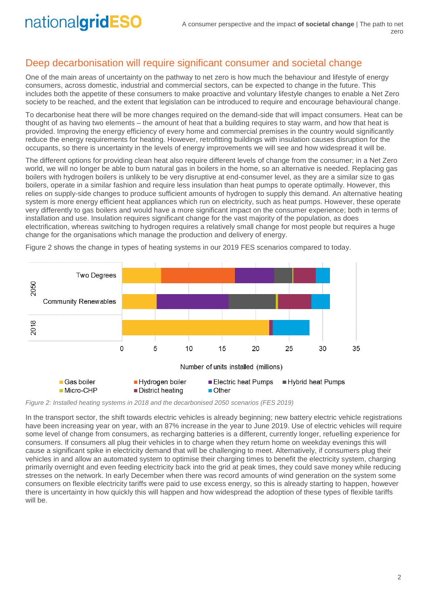# nationalgridESO

#### Deep decarbonisation will require significant consumer and societal change

One of the main areas of uncertainty on the pathway to net zero is how much the behaviour and lifestyle of energy consumers, across domestic, industrial and commercial sectors, can be expected to change in the future. This includes both the appetite of these consumers to make proactive and voluntary lifestyle changes to enable a Net Zero society to be reached, and the extent that legislation can be introduced to require and encourage behavioural change.

To decarbonise heat there will be more changes required on the demand-side that will impact consumers. Heat can be thought of as having two elements – the amount of heat that a building requires to stay warm, and how that heat is provided. Improving the energy efficiency of every home and commercial premises in the country would significantly reduce the energy requirements for heating. However, retrofitting buildings with insulation causes disruption for the occupants, so there is uncertainty in the levels of energy improvements we will see and how widespread it will be.

The different options for providing clean heat also require different levels of change from the consumer; in a Net Zero world, we will no longer be able to burn natural gas in boilers in the home, so an alternative is needed. Replacing gas boilers with hydrogen boilers is unlikely to be very disruptive at end-consumer level, as they are a similar size to gas boilers, operate in a similar fashion and require less insulation than heat pumps to operate optimally. However, this relies on supply-side changes to produce sufficient amounts of hydrogen to supply this demand. An alternative heating system is more energy efficient heat appliances which run on electricity, such as heat pumps. However, these operate very differently to gas boilers and would have a more significant impact on the consumer experience; both in terms of installation and use. Insulation requires significant change for the vast majority of the population, as does electrification, whereas switching to hydrogen requires a relatively small change for most people but requires a huge change for the organisations which manage the production and delivery of energy.



[Figure 2](#page-1-0) shows the change in types of heating systems in our 2019 FES scenarios compared to today.

<span id="page-1-0"></span>*Figure 2: Installed heating systems in 2018 and the decarbonised 2050 scenarios (FES 2019)*

In the transport sector, the shift towards electric vehicles is already beginning; new battery electric vehicle registrations have been increasing year on year, with an 87% increase in the year to June 2019. Use of electric vehicles will require some level of change from consumers, as recharging batteries is a different, currently longer, refuelling experience for consumers. If consumers all plug their vehicles in to charge when they return home on weekday evenings this will cause a significant spike in electricity demand that will be challenging to meet. Alternatively, if consumers plug their vehicles in and allow an automated system to optimise their charging times to benefit the electricity system, charging primarily overnight and even feeding electricity back into the grid at peak times, they could save money while reducing stresses on the network. In early December when there was record amounts of wind generation on the system some consumers on flexible electricity tariffs were paid to use excess energy, so this is already starting to happen, however there is uncertainty in how quickly this will happen and how widespread the adoption of these types of flexible tariffs will be.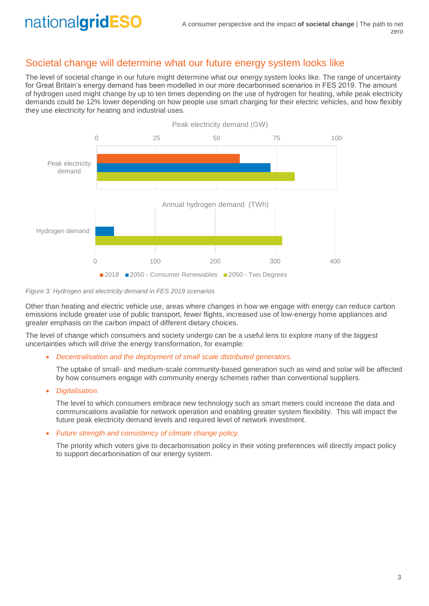#### Societal change will determine what our future energy system looks like

The level of societal change in our future might determine what our energy system looks like. The range of uncertainty for Great Britain's energy demand has been modelled in our more decarbonised scenarios in FES 2019. The amount of hydrogen used might change by up to ten times depending on the use of hydrogen for heating, while peak electricity demands could be 12% lower depending on how people use smart charging for their electric vehicles, and how flexibly they use electricity for heating and industrial uses.



*Figure 3: Hydrogen and electricity demand in FES 2019 scenarios*

Other than heating and electric vehicle use, areas where changes in how we engage with energy can reduce carbon emissions include greater use of public transport, fewer flights, increased use of low-energy home appliances and greater emphasis on the carbon impact of different dietary choices.

The level of change which consumers and society undergo can be a useful lens to explore many of the biggest uncertainties which will drive the energy transformation, for example:

• *Decentralisation and the deployment of small scale distributed generators.*

The uptake of small- and medium-scale community-based generation such as wind and solar will be affected by how consumers engage with community energy schemes rather than conventional suppliers.

• *Digitalisation.* 

The level to which consumers embrace new technology such as smart meters could increase the data and communications available for network operation and enabling greater system flexibility. This will impact the future peak electricity demand levels and required level of network investment.

• *Future strength and consistency of climate change policy.*

The priority which voters give to decarbonisation policy in their voting preferences will directly impact policy to support decarbonisation of our energy system.